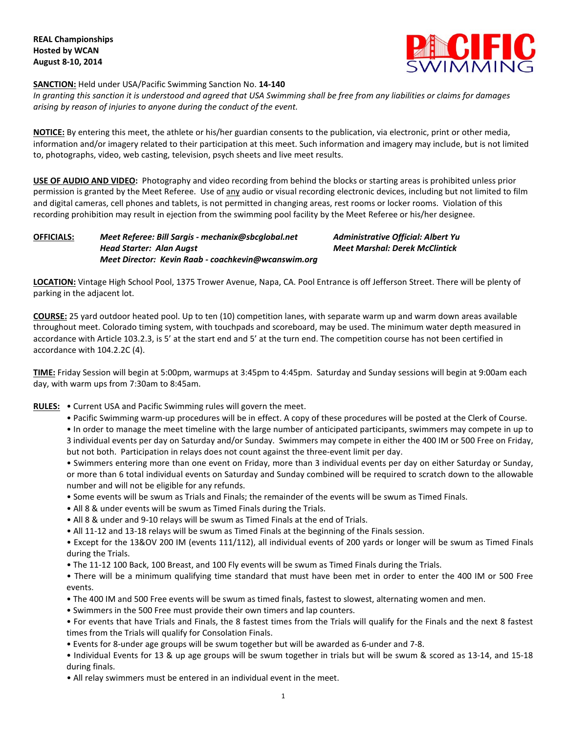

#### **SANCTION:** Held under USA/Pacific Swimming Sanction No. **14-140**

In granting this sanction it is understood and agreed that USA Swimming shall be free from any liabilities or claims for damages *arising by reason of injuries to anyone during the conduct of the event.*

**NOTICE:** By entering this meet, the athlete or his/her guardian consents to the publication, via electronic, print or other media, information and/or imagery related to their participation at this meet. Such information and imagery may include, but is not limited to, photographs, video, web casting, television, psych sheets and live meet results.

**USE OF AUDIO AND VIDEO:** Photography and video recording from behind the blocks or starting areas is prohibited unless prior permission is granted by the Meet Referee. Use of any audio or visual recording electronic devices, including but not limited to film and digital cameras, cell phones and tablets, is not permitted in changing areas, rest rooms or locker rooms. Violation of this recording prohibition may result in ejection from the swimming pool facility by the Meet Referee or his/her designee.

# **OFFICIALS:** *Meet Referee: Bill Sargis - [mechanix@sbcglobal.net](mailto:mechanix@sbcglobal.net) Administrative Official: Albert Yu Head Starter: Alan Augst Meet Marshal: Derek McClintick Meet Director: Kevin Raab - coachkevin@wcanswim.org*

**LOCATION:** Vintage High School Pool, 1375 Trower Avenue, Napa, CA. Pool Entrance is off Jefferson Street. There will be plenty of parking in the adjacent lot.

**COURSE:** 25 yard outdoor heated pool. Up to ten (10) competition lanes, with separate warm up and warm down areas available throughout meet. Colorado timing system, with touchpads and scoreboard, may be used. The minimum water depth measured in accordance with Article 103.2.3, is 5' at the start end and 5' at the turn end. The competition course has not been certified in accordance with 104.2.2C (4).

**TIME:** Friday Session will begin at 5:00pm, warmups at 3:45pm to 4:45pm. Saturday and Sunday sessions will begin at 9:00am each day, with warm ups from 7:30am to 8:45am.

- **RULES:** Current USA and Pacific Swimming rules will govern the meet.
	- Pacific Swimming warm-up procedures will be in effect. A copy of these procedures will be posted at the Clerk of Course.

• In order to manage the meet timeline with the large number of anticipated participants, swimmers may compete in up to 3 individual events per day on Saturday and/or Sunday. Swimmers may compete in either the 400 IM or 500 Free on Friday, but not both. Participation in relays does not count against the three-event limit per day.

• Swimmers entering more than one event on Friday, more than 3 individual events per day on either Saturday or Sunday, or more than 6 total individual events on Saturday and Sunday combined will be required to scratch down to the allowable number and will not be eligible for any refunds.

- Some events will be swum as Trials and Finals; the remainder of the events will be swum as Timed Finals.
- All 8 & under events will be swum as Timed Finals during the Trials.
- All 8 & under and 9-10 relays will be swum as Timed Finals at the end of Trials.
- All 11-12 and 13-18 relays will be swum as Timed Finals at the beginning of the Finals session.

• Except for the 13&OV 200 IM (events 111/112), all individual events of 200 yards or longer will be swum as Timed Finals during the Trials.

• The 11-12 100 Back, 100 Breast, and 100 Fly events will be swum as Timed Finals during the Trials.

• There will be a minimum qualifying time standard that must have been met in order to enter the 400 IM or 500 Free events.

- The 400 IM and 500 Free events will be swum as timed finals, fastest to slowest, alternating women and men.
- Swimmers in the 500 Free must provide their own timers and lap counters.

• For events that have Trials and Finals, the 8 fastest times from the Trials will qualify for the Finals and the next 8 fastest times from the Trials will qualify for Consolation Finals.

• Events for 8-under age groups will be swum together but will be awarded as 6-under and 7-8.

• Individual Events for 13 & up age groups will be swum together in trials but will be swum & scored as 13-14, and 15-18 during finals.

• All relay swimmers must be entered in an individual event in the meet.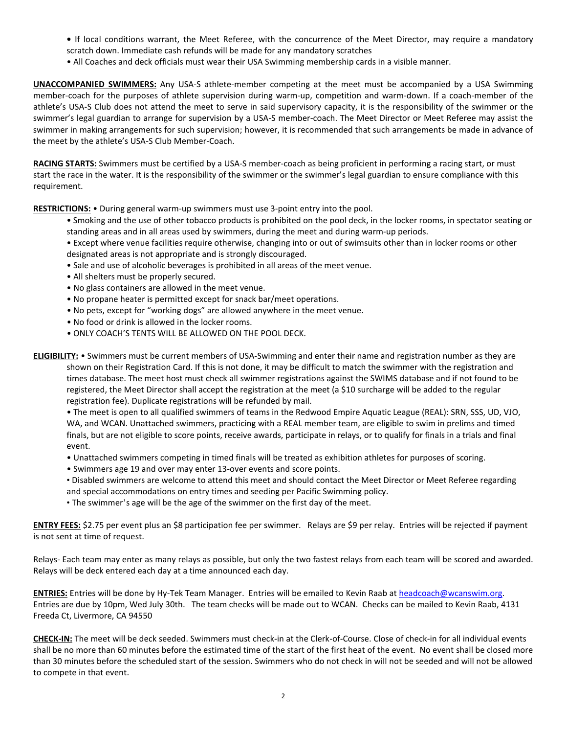- **•** If local conditions warrant, the Meet Referee, with the concurrence of the Meet Director, may require a mandatory scratch down. Immediate cash refunds will be made for any mandatory scratches
- All Coaches and deck officials must wear their USA Swimming membership cards in a visible manner.

**UNACCOMPANIED SWIMMERS:** Any USA-S athlete-member competing at the meet must be accompanied by a USA Swimming member-coach for the purposes of athlete supervision during warm-up, competition and warm-down. If a coach-member of the athlete's USA-S Club does not attend the meet to serve in said supervisory capacity, it is the responsibility of the swimmer or the swimmer's legal guardian to arrange for supervision by a USA-S member-coach. The Meet Director or Meet Referee may assist the swimmer in making arrangements for such supervision; however, it is recommended that such arrangements be made in advance of the meet by the athlete's USA-S Club Member-Coach.

**RACING STARTS:** Swimmers must be certified by a USA-S member-coach as being proficient in performing a racing start, or must start the race in the water. It is the responsibility of the swimmer or the swimmer's legal guardian to ensure compliance with this requirement.

**RESTRICTIONS:** • During general warm-up swimmers must use 3-point entry into the pool.

• Smoking and the use of other tobacco products is prohibited on the pool deck, in the locker rooms, in spectator seating or standing areas and in all areas used by swimmers, during the meet and during warm-up periods.

• Except where venue facilities require otherwise, changing into or out of swimsuits other than in locker rooms or other designated areas is not appropriate and is strongly discouraged.

- Sale and use of alcoholic beverages is prohibited in all areas of the meet venue.
- All shelters must be properly secured.
- No glass containers are allowed in the meet venue.
- No propane heater is permitted except for snack bar/meet operations.
- No pets, except for "working dogs" are allowed anywhere in the meet venue.
- No food or drink is allowed in the locker rooms.
- ONLY COACH'S TENTS WILL BE ALLOWED ON THE POOL DECK.
- **ELIGIBILITY:** Swimmers must be current members of USA-Swimming and enter their name and registration number as they are shown on their Registration Card. If this is not done, it may be difficult to match the swimmer with the registration and times database. The meet host must check all swimmer registrations against the SWIMS database and if not found to be registered, the Meet Director shall accept the registration at the meet (a \$10 surcharge will be added to the regular registration fee). Duplicate registrations will be refunded by mail.

• The meet is open to all qualified swimmers of teams in the Redwood Empire Aquatic League (REAL): SRN, SSS, UD, VJO, WA, and WCAN. Unattached swimmers, practicing with a REAL member team, are eligible to swim in prelims and timed finals, but are not eligible to score points, receive awards, participate in relays, or to qualify for finals in a trials and final event.

- Unattached swimmers competing in timed finals will be treated as exhibition athletes for purposes of scoring.
- Swimmers age 19 and over may enter 13-over events and score points.
- Disabled swimmers are welcome to attend this meet and should contact the Meet Director or Meet Referee regarding and special accommodations on entry times and seeding per Pacific Swimming policy.
- The swimmer's age will be the age of the swimmer on the first day of the meet.

**ENTRY FEES:** \$2.75 per event plus an \$8 participation fee per swimmer. Relays are \$9 per relay. Entries will be rejected if payment is not sent at time of request.

Relays- Each team may enter as many relays as possible, but only the two fastest relays from each team will be scored and awarded. Relays will be deck entered each day at a time announced each day.

**ENTRIES:** Entries will be done by Hy-Tek Team Manager. Entries will be emailed to Kevin Raab at [headcoach@wcanswim.org.](mailto:headcoach@wcanswim.org) Entries are due by 10pm, Wed July 30th. The team checks will be made out to WCAN. Checks can be mailed to Kevin Raab, 4131 Freeda Ct, Livermore, CA 94550

**CHECK-IN:** The meet will be deck seeded. Swimmers must check-in at the Clerk-of-Course. Close of check-in for all individual events shall be no more than 60 minutes before the estimated time of the start of the first heat of the event. No event shall be closed more than 30 minutes before the scheduled start of the session. Swimmers who do not check in will not be seeded and will not be allowed to compete in that event.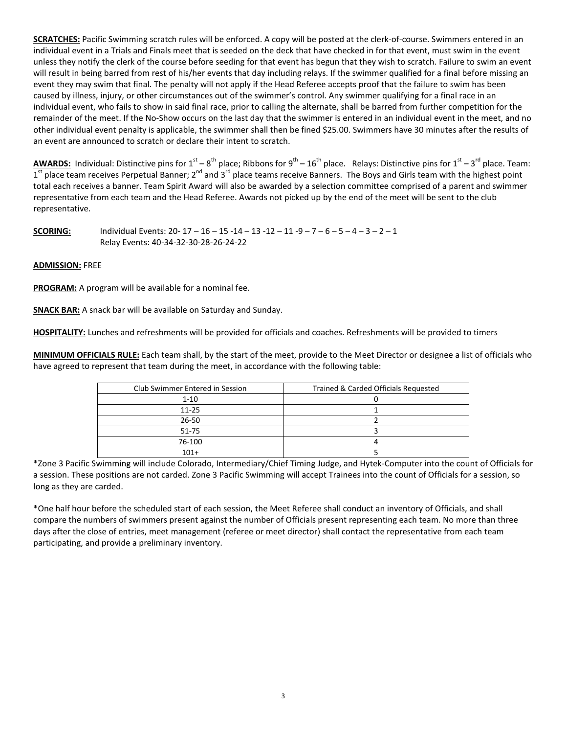**SCRATCHES:** Pacific Swimming scratch rules will be enforced. A copy will be posted at the clerk-of-course. Swimmers entered in an individual event in a Trials and Finals meet that is seeded on the deck that have checked in for that event, must swim in the event unless they notify the clerk of the course before seeding for that event has begun that they wish to scratch. Failure to swim an event will result in being barred from rest of his/her events that day including relays. If the swimmer qualified for a final before missing an event they may swim that final. The penalty will not apply if the Head Referee accepts proof that the failure to swim has been caused by illness, injury, or other circumstances out of the swimmer's control. Any swimmer qualifying for a final race in an individual event, who fails to show in said final race, prior to calling the alternate, shall be barred from further competition for the remainder of the meet. If the No-Show occurs on the last day that the swimmer is entered in an individual event in the meet, and no other individual event penalty is applicable, the swimmer shall then be fined \$25.00. Swimmers have 30 minutes after the results of an event are announced to scratch or declare their intent to scratch.

AWARDS: Individual: Distinctive pins for 1<sup>st</sup> – 8<sup>th</sup> place; Ribbons for 9<sup>th</sup> – 16<sup>th</sup> place. Relays: Distinctive pins for 1<sup>st</sup> – 3<sup>rd</sup> place. Team: 1<sup>st</sup> place team receives Perpetual Banner; 2<sup>nd</sup> and 3<sup>rd</sup> place teams receive Banners. The Boys and Girls team with the highest point total each receives a banner. Team Spirit Award will also be awarded by a selection committee comprised of a parent and swimmer representative from each team and the Head Referee. Awards not picked up by the end of the meet will be sent to the club representative.

**SCORING:** Individual Events: 20- 17 – 16 – 15 -14 – 13 -12 – 11 -9 – 7 – 6 – 5 – 4 – 3 – 2 – 1 Relay Events: 40-34-32-30-28-26-24-22

# **ADMISSION:** FREE

**PROGRAM:** A program will be available for a nominal fee.

**SNACK BAR:** A snack bar will be available on Saturday and Sunday.

**HOSPITALITY:** Lunches and refreshments will be provided for officials and coaches. Refreshments will be provided to timers

**MINIMUM OFFICIALS RULE:** Each team shall, by the start of the meet, provide to the Meet Director or designee a list of officials who have agreed to represent that team during the meet, in accordance with the following table:

| Club Swimmer Entered in Session | Trained & Carded Officials Requested |  |  |  |
|---------------------------------|--------------------------------------|--|--|--|
| $1 - 10$                        |                                      |  |  |  |
| $11 - 25$                       |                                      |  |  |  |
| $26 - 50$                       |                                      |  |  |  |
| 51-75                           |                                      |  |  |  |
| 76-100                          |                                      |  |  |  |
| $101+$                          |                                      |  |  |  |

\*Zone 3 Pacific Swimming will include Colorado, Intermediary/Chief Timing Judge, and Hytek-Computer into the count of Officials for a session. These positions are not carded. Zone 3 Pacific Swimming will accept Trainees into the count of Officials for a session, so long as they are carded.

\*One half hour before the scheduled start of each session, the Meet Referee shall conduct an inventory of Officials, and shall compare the numbers of swimmers present against the number of Officials present representing each team. No more than three days after the close of entries, meet management (referee or meet director) shall contact the representative from each team participating, and provide a preliminary inventory.